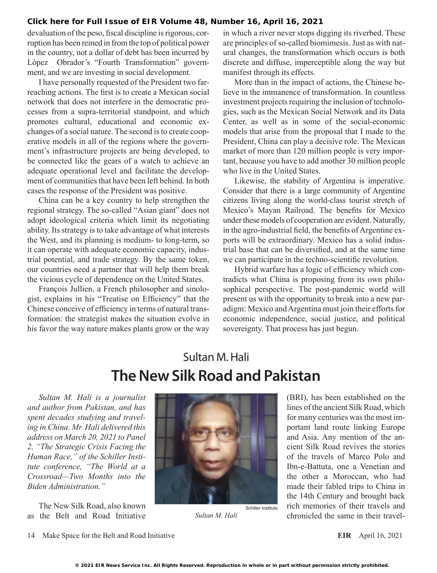devaluation of the peso, fiscal discipline is rigorous, corruption has been reined in from the top of political power in the country, not a dollar of debt has been incurred by López Obrador's "Fourth Transformation" government, and we are investing in social development.

I have personally requested of the President two farreaching actions. The first is to create a Mexican social network that does not interfere in the democratic processes from a supra-territorial standpoint, and which promotes cultural, educational and economic exchanges of a social nature. The second is to create cooperative models in all of the regions where the government's infrastructure projects are being developed, to be connected like the gears of a watch to achieve an adequate operational level and facilitate the development of communities that have been left behind. In both cases the response of the President was positive.

China can be a key country to help strengthen the regional strategy. The so-called "Asian giant" does not adopt ideological criteria which limit its negotiating ability. Its strategy is to take advantage of what interests the West, and its planning is medium- to long-term, so it can operate with adequate economic capacity, industrial potential, and trade strategy. By the same token, our countries need a partner that will help them break the vicious cycle of dependence on the United States.

François Jullien, a French philosopher and sinologist, explains in his "Treatise on Efficiency" that the Chinese conceive of efficiency in terms of natural transformation: the strategist makes the situation evolve in his favor the way nature makes plants grow or the way in which a river never stops digging its riverbed. These are principles of so-called biomimesis. Just as with natural changes, the transformation which occurs is both discrete and diffuse, imperceptible along the way but manifest through its effects.

More than in the impact of actions, the Chinese believe in the immanence of transformation. In countless investment projects requiring the inclusion of technologies, such as the Mexican Social Network and its Data Center, as well as in some of the social-economic models that arise from the proposal that I made to the President, China can play a decisive role. The Mexican market of more than 120 million people is very important, because you have to add another 30 million people who live in the United States.

Likewise, the stability of Argentina is imperative. Consider that there is a large community of Argentine citizens living along the world-class tourist stretch of Mexico's Mayan Railroad. The benefits for Mexico under these models of cooperation are evident. Naturally, in the agro-industrial field, the benefits of Argentine exports will be extraordinary. Mexico has a solid industrial base that can be diversified, and at the same time we can participate in the techno-scientific revolution.

Hybrid warfare has a logic of efficiency which contradicts what China is proposing from its own philosophical perspective. The post-pandemic world will present us with the opportunity to break into a new paradigm: Mexico and Argentina must join their efforts for economic independence, social justice, and political sovereignty. That process has just begun.

## Sultan M. Hali **The New Silk Road and Pakistan**

*Sultan M. Hali is a journalist and author from Pakistan, and has spent decades studying and traveling in China. Mr. Hali delivered this address on March 20, 2021 to Panel 2, "The Strategic Crisis Facing the Human Race," of the Schiller Institute conference, "The World at a Crossroad—Two Months into the Biden Administration."*

The New Silk Road, also known as the Belt and Road Initiative



*Sultan M. Hali*

(BRI), has been established on the lines of the ancient Silk Road, which for many centuries was the most important land route linking Europe and Asia. Any mention of the ancient Silk Road revives the stories of the travels of Marco Polo and Ibn-e-Battuta, one a Venetian and the other a Moroccan, who had made their fabled trips to China in the 14th Century and brought back rich memories of their travels and chronicled the same in their travel-

<sup>14</sup> Make Space for the Belt and Road Initiative **EIR** April 16, 2021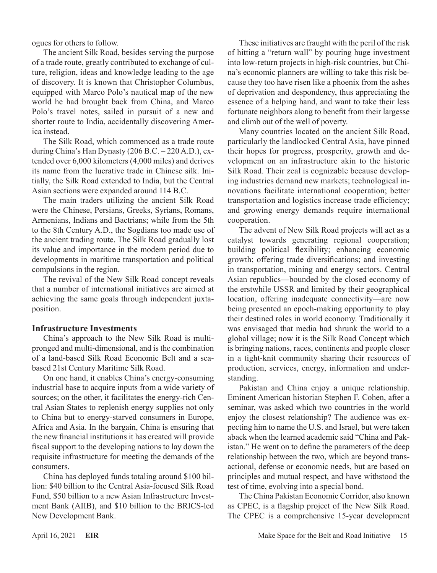ogues for others to follow.

The ancient Silk Road, besides serving the purpose of a trade route, greatly contributed to exchange of culture, religion, ideas and knowledge leading to the age of discovery. It is known that Christopher Columbus, equipped with Marco Polo's nautical map of the new world he had brought back from China, and Marco Polo's travel notes, sailed in pursuit of a new and shorter route to India, accidentally discovering America instead.

The Silk Road, which commenced as a trade route during China's Han Dynasty (206 B.C. – 220 A.D.), extended over 6,000 kilometers (4,000 miles) and derives its name from the lucrative trade in Chinese silk. Initially, the Silk Road extended to India, but the Central Asian sections were expanded around 114 B.C.

The main traders utilizing the ancient Silk Road were the Chinese, Persians, Greeks, Syrians, Romans, Armenians, Indians and Bactrians; while from the 5th to the 8th Century A.D., the Sogdians too made use of the ancient trading route. The Silk Road gradually lost its value and importance in the modern period due to developments in maritime transportation and political compulsions in the region.

The revival of the New Silk Road concept reveals that a number of international initiatives are aimed at achieving the same goals through independent juxtaposition.

## **Infrastructure Investments**

China's approach to the New Silk Road is multipronged and multi-dimensional, and is the combination of a land-based Silk Road Economic Belt and a seabased 21st Century Maritime Silk Road.

On one hand, it enables China's energy-consuming industrial base to acquire inputs from a wide variety of sources; on the other, it facilitates the energy-rich Central Asian States to replenish energy supplies not only to China but to energy-starved consumers in Europe, Africa and Asia. In the bargain, China is ensuring that the new financial institutions it has created will provide fiscal support to the developing nations to lay down the requisite infrastructure for meeting the demands of the consumers.

China has deployed funds totaling around \$100 billion: \$40 billion to the Central Asia-focused Silk Road Fund, \$50 billion to a new Asian Infrastructure Investment Bank (AIIB), and \$10 billion to the BRICS-led New Development Bank.

These initiatives are fraught with the peril of the risk of hitting a "return wall" by pouring huge investment into low-return projects in high-risk countries, but China's economic planners are willing to take this risk because they too have risen like a phoenix from the ashes of deprivation and despondency, thus appreciating the essence of a helping hand, and want to take their less fortunate neighbors along to benefit from their largesse and climb out of the well of poverty.

Many countries located on the ancient Silk Road, particularly the landlocked Central Asia, have pinned their hopes for progress, prosperity, growth and development on an infrastructure akin to the historic Silk Road. Their zeal is cognizable because developing industries demand new markets; technological innovations facilitate international cooperation; better transportation and logistics increase trade efficiency; and growing energy demands require international cooperation.

The advent of New Silk Road projects will act as a catalyst towards generating regional cooperation; building political flexibility; enhancing economic growth; offering trade diversifications; and investing in transportation, mining and energy sectors. Central Asian republics—bounded by the closed economy of the erstwhile USSR and limited by their geographical location, offering inadequate connectivity—are now being presented an epoch-making opportunity to play their destined roles in world economy. Traditionally it was envisaged that media had shrunk the world to a global village; now it is the Silk Road Concept which is bringing nations, races, continents and people closer in a tight-knit community sharing their resources of production, services, energy, information and understanding.

Pakistan and China enjoy a unique relationship. Eminent American historian Stephen F. Cohen, after a seminar, was asked which two countries in the world enjoy the closest relationship? The audience was expecting him to name the U.S. and Israel, but were taken aback when the learned academic said "China and Pakistan." He went on to define the parameters of the deep relationship between the two, which are beyond transactional, defense or economic needs, but are based on principles and mutual respect, and have withstood the test of time, evolving into a special bond.

The China Pakistan Economic Corridor, also known as CPEC, is a flagship project of the New Silk Road. The CPEC is a comprehensive 15-year development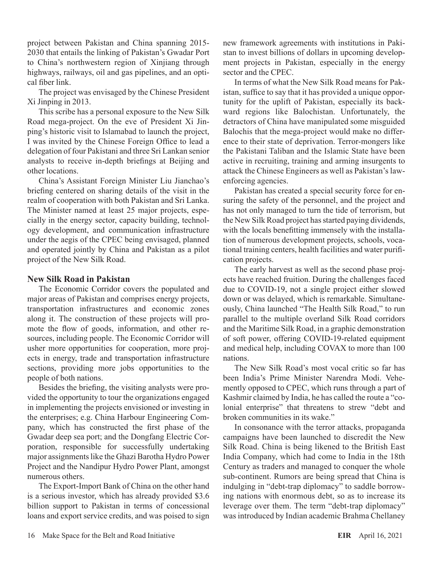project between Pakistan and China spanning 2015- 2030 that entails the linking of Pakistan's Gwadar Port to China's northwestern region of Xinjiang through highways, railways, oil and gas pipelines, and an optical fiber link.

The project was envisaged by the Chinese President Xi Jinping in 2013.

This scribe has a personal exposure to the New Silk Road mega-project. On the eve of President Xi Jinping's historic visit to Islamabad to launch the project, I was invited by the Chinese Foreign Office to lead a delegation of four Pakistani and three Sri Lankan senior analysts to receive in-depth briefings at Beijing and other locations.

China's Assistant Foreign Minister Liu Jianchao's briefing centered on sharing details of the visit in the realm of cooperation with both Pakistan and Sri Lanka. The Minister named at least 25 major projects, especially in the energy sector, capacity building, technology development, and communication infrastructure under the aegis of the CPEC being envisaged, planned and operated jointly by China and Pakistan as a pilot project of the New Silk Road.

## **New Silk Road in Pakistan**

The Economic Corridor covers the populated and major areas of Pakistan and comprises energy projects, transportation infrastructures and economic zones along it. The construction of these projects will promote the flow of goods, information, and other resources, including people. The Economic Corridor will usher more opportunities for cooperation, more projects in energy, trade and transportation infrastructure sections, providing more jobs opportunities to the people of both nations.

Besides the briefing, the visiting analysts were provided the opportunity to tour the organizations engaged in implementing the projects envisioned or investing in the enterprises; e.g. China Harbour Engineering Company, which has constructed the first phase of the Gwadar deep sea port; and the Dongfang Electric Corporation, responsible for successfully undertaking major assignments like the Ghazi Barotha Hydro Power Project and the Nandipur Hydro Power Plant, amongst numerous others.

The Export-Import Bank of China on the other hand is a serious investor, which has already provided \$3.6 billion support to Pakistan in terms of concessional loans and export service credits, and was poised to sign new framework agreements with institutions in Pakistan to invest billions of dollars in upcoming development projects in Pakistan, especially in the energy sector and the CPEC.

In terms of what the New Silk Road means for Pakistan, suffice to say that it has provided a unique opportunity for the uplift of Pakistan, especially its backward regions like Balochistan. Unfortunately, the detractors of China have manipulated some misguided Balochis that the mega-project would make no difference to their state of deprivation. Terror-mongers like the Pakistani Taliban and the Islamic State have been active in recruiting, training and arming insurgents to attack the Chinese Engineers as well as Pakistan's lawenforcing agencies.

Pakistan has created a special security force for ensuring the safety of the personnel, and the project and has not only managed to turn the tide of terrorism, but the New Silk Road project has started paying dividends, with the locals benefitting immensely with the installation of numerous development projects, schools, vocational training centers, health facilities and water purification projects.

The early harvest as well as the second phase projects have reached fruition. During the challenges faced due to COVID-19, not a single project either slowed down or was delayed, which is remarkable. Simultaneously, China launched "The Health Silk Road," to run parallel to the multiple overland Silk Road corridors and the Maritime Silk Road, in a graphic demonstration of soft power, offering COVID-19-related equipment and medical help, including COVAX to more than 100 nations.

The New Silk Road's most vocal critic so far has been India's Prime Minister Narendra Modi. Vehemently opposed to CPEC, which runs through a part of Kashmir claimed by India, he has called the route a "colonial enterprise" that threatens to strew "debt and broken communities in its wake."

In consonance with the terror attacks, propaganda campaigns have been launched to discredit the New Silk Road. China is being likened to the British East India Company, which had come to India in the 18th Century as traders and managed to conquer the whole sub-continent. Rumors are being spread that China is indulging in "debt-trap diplomacy" to saddle borrowing nations with enormous debt, so as to increase its leverage over them. The term "debt-trap diplomacy" was introduced by Indian academic Brahma Chellaney